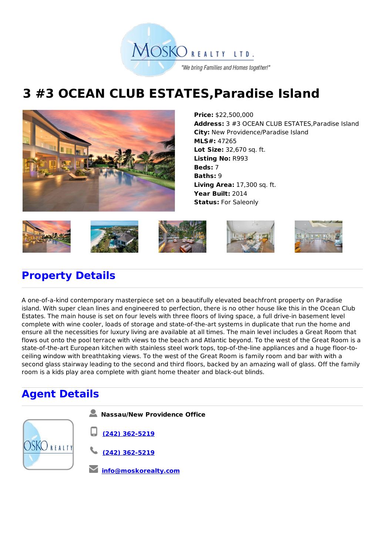

## **3 #3 OCEAN CLUB ESTATES,Paradise Island**



**Price:** \$22,500,000 **Address:** 3 #3 OCEAN CLUB ESTATES,Paradise Island **City:** New Providence/Paradise Island **MLS#:** 47265 **Lot Size:** 32,670 sq. ft. **Listing No:** R993 **Beds:** 7 **Baths:** 9 **Living Area:** 17,300 sq. ft. **Year Built:** 2014 **Status:** For Saleonly











## **Property Details**

A one-of-a-kind contemporary masterpiece set on a beautifully elevated beachfront property on Paradise island. With super clean lines and engineered to perfection, there is no other house like this in the Ocean Club Estates. The main house is set on four levels with three floors of living space, a full drive-in basement level complete with wine cooler, loads of storage and state-of-the-art systems in duplicate that run the home and ensure all the necessities for luxury living are available at all times. The main level includes a Great Room that flows out onto the pool terrace with views to the beach and Atlantic beyond. To the west of the Great Room is a state-of-the-art European kitchen with stainless steel work tops, top-of-the-line appliances and a huge floor-toceiling window with breathtaking views. To the west of the Great Room is family room and bar with with a second glass stairway leading to the second and third floors, backed by an amazing wall of glass. Off the family room is a kids play area complete with giant home theater and black-out blinds.

## **Agent Details**





**(242) 362-5219**

**(242) 362-5219**

**info@moskorealty.com**